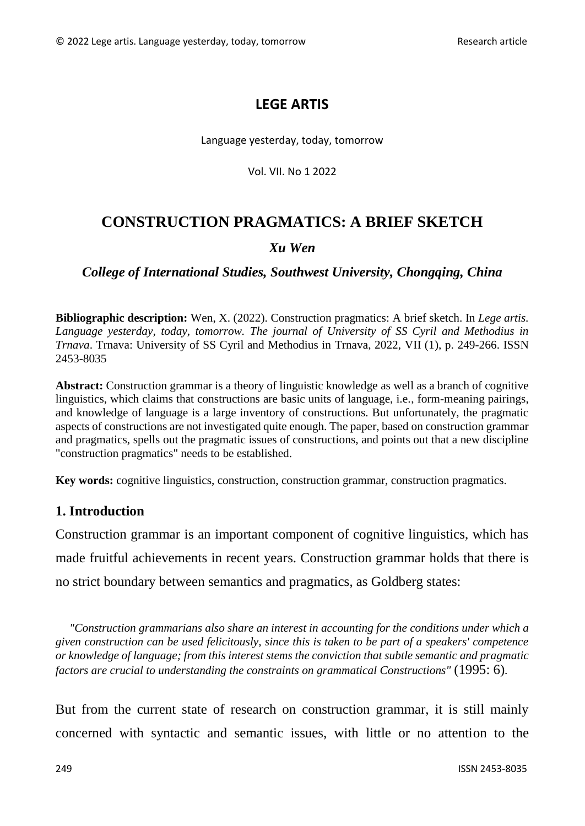## **LEGE ARTIS**

#### Language yesterday, today, tomorrow

Vol. VII. No 1 2022

# **CONSTRUCTION PRAGMATICS: A BRIEF SKETCH**

#### *Xu Wen*

## *College of International Studies, Southwest University, Chongqing, China*

**Bibliographic description:** Wen, X. (2022). Construction pragmatics: A brief sketch. In *Lege artis. Language yesterday, today, tomorrow. The journal of University of SS Cyril and Methodius in Trnava*. Trnava: University of SS Cyril and Methodius in Trnava, 2022, VII (1), p. 249-266. ISSN 2453-8035

**Abstract:** Construction grammar is a theory of linguistic knowledge as well as a branch of cognitive linguistics, which claims that constructions are basic units of language, i.e., form-meaning pairings, and knowledge of language is a large inventory of constructions. But unfortunately, the pragmatic aspects of constructions are not investigated quite enough. The paper, based on construction grammar and pragmatics, spells out the pragmatic issues of constructions, and points out that a new discipline "construction pragmatics" needs to be established.

**Key words:** cognitive linguistics, construction, construction grammar, construction pragmatics.

## **1. Introduction**

Construction grammar is an important component of cognitive linguistics, which has made fruitful achievements in recent years. Construction grammar holds that there is no strict boundary between semantics and pragmatics, as Goldberg states:

*"Construction grammarians also share an interest in accounting for the conditions under which a given construction can be used felicitously, since this is taken to be part of a speakers' competence or knowledge of language; from this interest stems the conviction that subtle semantic and pragmatic factors are crucial to understanding the constraints on grammatical Constructions"* (1995: 6)*.*

But from the current state of research on construction grammar, it is still mainly concerned with syntactic and semantic issues, with little or no attention to the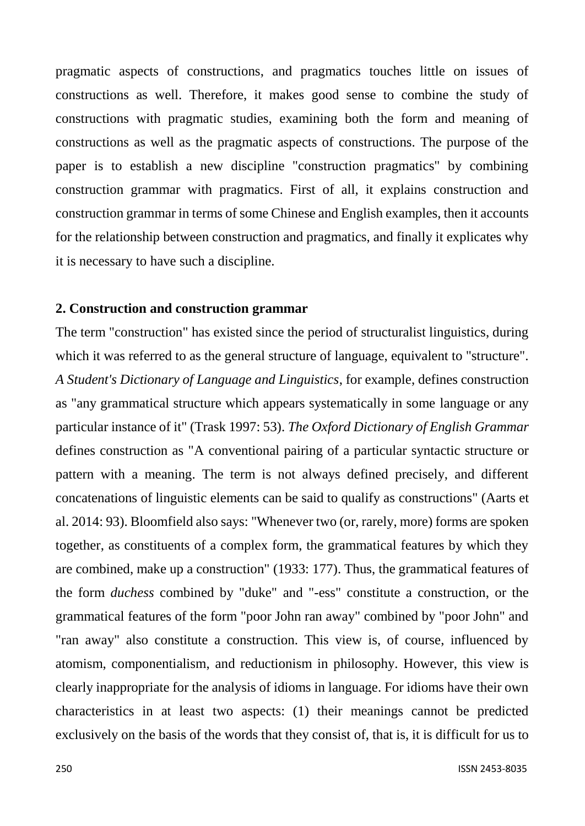pragmatic aspects of constructions, and pragmatics touches little on issues of constructions as well. Therefore, it makes good sense to combine the study of constructions with pragmatic studies, examining both the form and meaning of constructions as well as the pragmatic aspects of constructions. The purpose of the paper is to establish a new discipline "construction pragmatics" by combining construction grammar with pragmatics. First of all, it explains construction and construction grammar in terms of some Chinese and English examples, then it accounts for the relationship between construction and pragmatics, and finally it explicates why it is necessary to have such a discipline.

#### **2. Construction and construction grammar**

The term "construction" has existed since the period of structuralist linguistics, during which it was referred to as the general structure of language, equivalent to "structure". *A Student's Dictionary of Language and Linguistics*, for example, defines construction as "any grammatical structure which appears systematically in some language or any particular instance of it" (Trask 1997: 53). *The Oxford Dictionary of English Grammar* defines construction as "A conventional pairing of a particular syntactic structure or pattern with a meaning. The term is not always defined precisely, and different concatenations of linguistic elements can be said to qualify as constructions" (Aarts et al. 2014: 93). Bloomfield also says: "Whenever two (or, rarely, more) forms are spoken together, as constituents of a complex form, the grammatical features by which they are combined, make up a construction" (1933: 177). Thus, the grammatical features of the form *duchess* combined by "duke" and "-ess" constitute a construction, or the grammatical features of the form "poor John ran away" combined by "poor John" and "ran away" also constitute a construction. This view is, of course, influenced by atomism, componentialism, and reductionism in philosophy. However, this view is clearly inappropriate for the analysis of idioms in language. For idioms have their own characteristics in at least two aspects: (1) their meanings cannot be predicted exclusively on the basis of the words that they consist of, that is, it is difficult for us to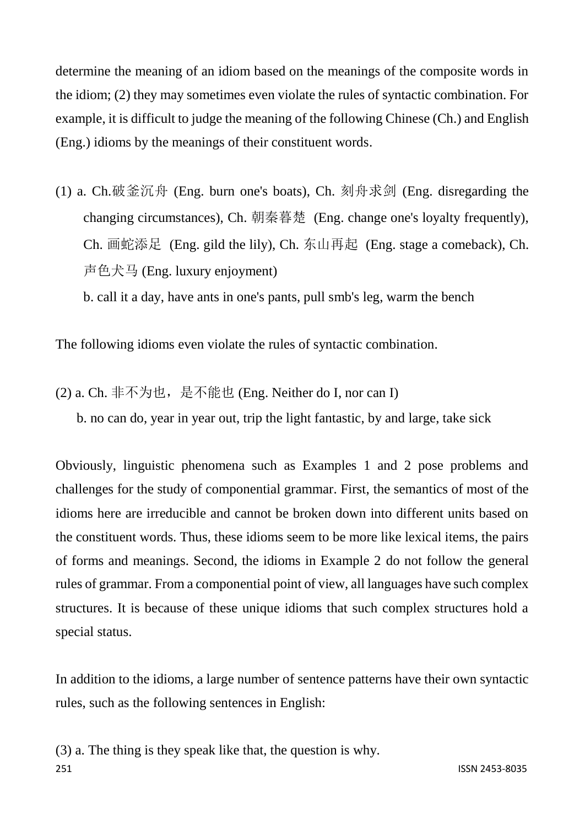determine the meaning of an idiom based on the meanings of the composite words in the idiom; (2) they may sometimes even violate the rules of syntactic combination. For example, it is difficult to judge the meaning of the following Chinese (Ch.) and English (Eng.) idioms by the meanings of their constituent words.

(1) a. Ch.破釜沉舟 (Eng. burn one's boats), Ch. 刻舟求剑 (Eng. disregarding the changing circumstances), Ch. 朝秦暮楚 (Eng. change one's loyalty frequently), Ch. 画蛇添足 (Eng. gild the lily), Ch. 东山再起 (Eng. stage a comeback), Ch. 声色犬马 (Eng. luxury enjoyment)

b. call it a day, have ants in one's pants, pull smb's leg, warm the bench

The following idioms even violate the rules of syntactic combination.

(2) a. Ch. 非不为也, 是不能也 (Eng. Neither do I, nor can I)

b. no can do, year in year out, trip the light fantastic, by and large, take sick

Obviously, linguistic phenomena such as Examples 1 and 2 pose problems and challenges for the study of componential grammar. First, the semantics of most of the idioms here are irreducible and cannot be broken down into different units based on the constituent words. Thus, these idioms seem to be more like lexical items, the pairs of forms and meanings. Second, the idioms in Example 2 do not follow the general rules of grammar. From a componential point of view, all languages have such complex structures. It is because of these unique idioms that such complex structures hold a special status.

In addition to the idioms, a large number of sentence patterns have their own syntactic rules, such as the following sentences in English:

251 ISSN 2453-8035 (3) a. The thing is they speak like that, the question is why.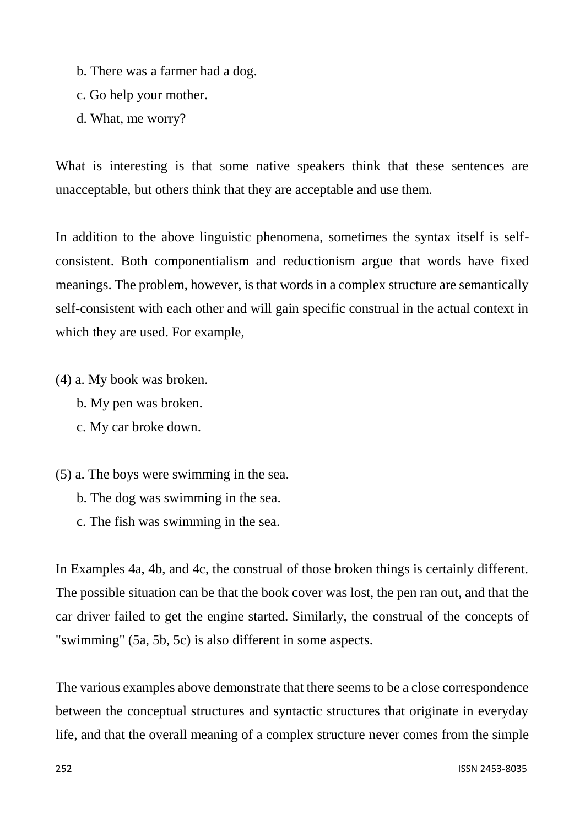- b. There was a farmer had a dog.
- c. Go help your mother.
- d. What, me worry?

What is interesting is that some native speakers think that these sentences are unacceptable, but others think that they are acceptable and use them.

In addition to the above linguistic phenomena, sometimes the syntax itself is selfconsistent. Both componentialism and reductionism argue that words have fixed meanings. The problem, however, is that words in a complex structure are semantically self-consistent with each other and will gain specific construal in the actual context in which they are used. For example,

- (4) a. My book was broken.
	- b. My pen was broken.
	- c. My car broke down.
- (5) a. The boys were swimming in the sea.
	- b. The dog was swimming in the sea.
	- c. The fish was swimming in the sea.

In Examples 4a, 4b, and 4c, the construal of those broken things is certainly different. The possible situation can be that the book cover was lost, the pen ran out, and that the car driver failed to get the engine started. Similarly, the construal of the concepts of "swimming" (5a, 5b, 5c) is also different in some aspects.

The various examples above demonstrate that there seems to be a close correspondence between the conceptual structures and syntactic structures that originate in everyday life, and that the overall meaning of a complex structure never comes from the simple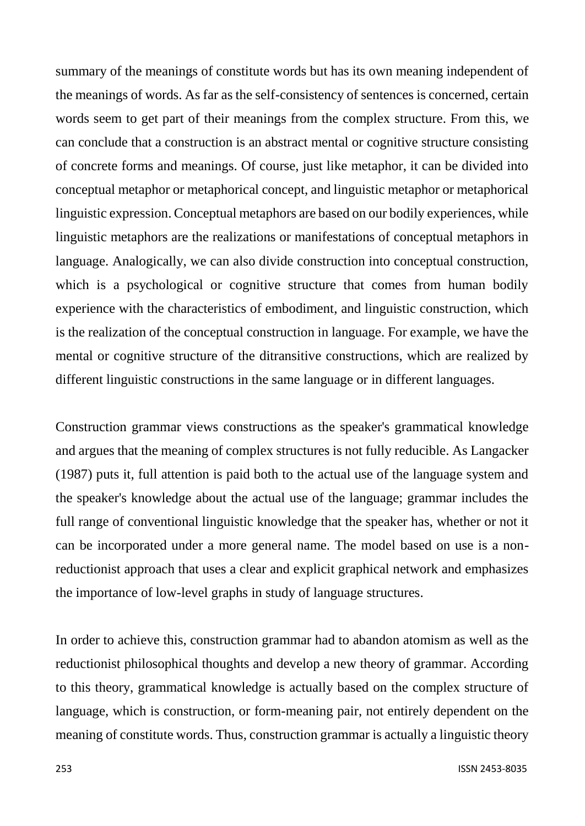summary of the meanings of constitute words but has its own meaning independent of the meanings of words. As far as the self-consistency of sentences is concerned, certain words seem to get part of their meanings from the complex structure. From this, we can conclude that a construction is an abstract mental or cognitive structure consisting of concrete forms and meanings. Of course, just like metaphor, it can be divided into conceptual metaphor or metaphorical concept, and linguistic metaphor or metaphorical linguistic expression. Conceptual metaphors are based on our bodily experiences, while linguistic metaphors are the realizations or manifestations of conceptual metaphors in language. Analogically, we can also divide construction into conceptual construction, which is a psychological or cognitive structure that comes from human bodily experience with the characteristics of embodiment, and linguistic construction, which is the realization of the conceptual construction in language. For example, we have the mental or cognitive structure of the ditransitive constructions, which are realized by different linguistic constructions in the same language or in different languages.

Construction grammar views constructions as the speaker's grammatical knowledge and argues that the meaning of complex structures is not fully reducible. As Langacker (1987) puts it, full attention is paid both to the actual use of the language system and the speaker's knowledge about the actual use of the language; grammar includes the full range of conventional linguistic knowledge that the speaker has, whether or not it can be incorporated under a more general name. The model based on use is a nonreductionist approach that uses a clear and explicit graphical network and emphasizes the importance of low-level graphs in study of language structures.

In order to achieve this, construction grammar had to abandon atomism as well as the reductionist philosophical thoughts and develop a new theory of grammar. According to this theory, grammatical knowledge is actually based on the complex structure of language, which is construction, or form-meaning pair, not entirely dependent on the meaning of constitute words. Thus, construction grammar is actually a linguistic theory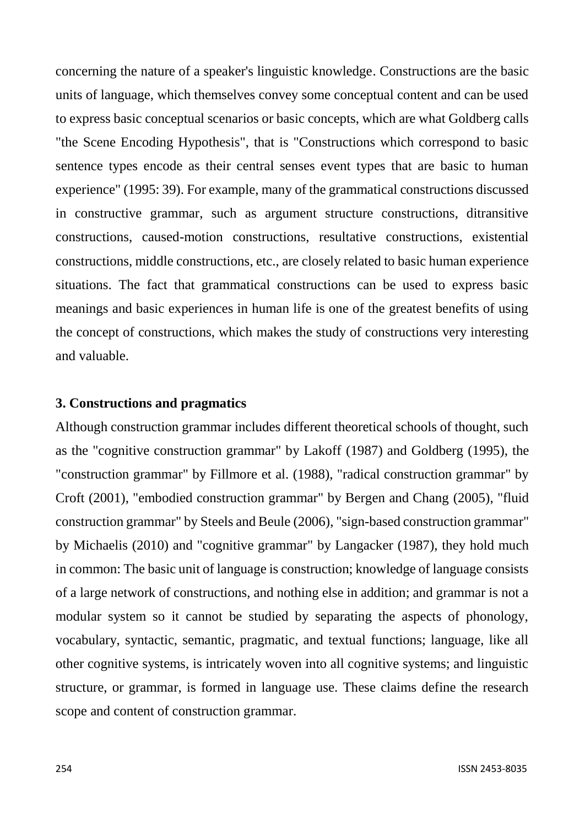concerning the nature of a speaker's linguistic knowledge. Constructions are the basic units of language, which themselves convey some conceptual content and can be used to express basic conceptual scenarios or basic concepts, which are what Goldberg calls "the Scene Encoding Hypothesis", that is "Constructions which correspond to basic sentence types encode as their central senses event types that are basic to human experience" (1995: 39). For example, many of the grammatical constructions discussed in constructive grammar, such as argument structure constructions, ditransitive constructions, caused-motion constructions, resultative constructions, existential constructions, middle constructions, etc., are closely related to basic human experience situations. The fact that grammatical constructions can be used to express basic meanings and basic experiences in human life is one of the greatest benefits of using the concept of constructions, which makes the study of constructions very interesting and valuable.

## **3. Constructions and pragmatics**

Although construction grammar includes different theoretical schools of thought, such as the "cognitive construction grammar" by Lakoff (1987) and Goldberg (1995), the "construction grammar" by Fillmore et al. (1988), "radical construction grammar" by Croft (2001), "embodied construction grammar" by Bergen and Chang (2005), "fluid construction grammar" by Steels and Beule (2006), "sign-based construction grammar" by Michaelis (2010) and "cognitive grammar" by Langacker (1987), they hold much in common: The basic unit of language is construction; knowledge of language consists of a large network of constructions, and nothing else in addition; and grammar is not a modular system so it cannot be studied by separating the aspects of phonology, vocabulary, syntactic, semantic, pragmatic, and textual functions; language, like all other cognitive systems, is intricately woven into all cognitive systems; and linguistic structure, or grammar, is formed in language use. These claims define the research scope and content of construction grammar.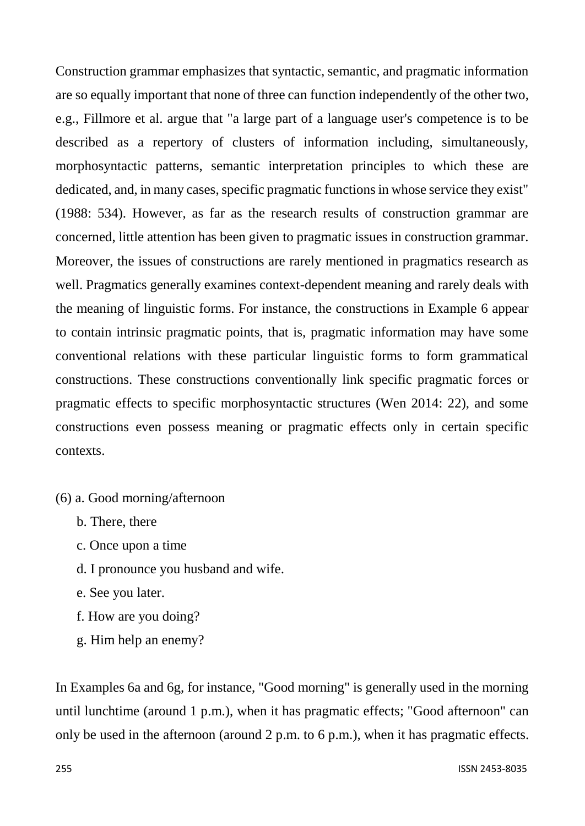Construction grammar emphasizes that syntactic, semantic, and pragmatic information are so equally important that none of three can function independently of the other two, e.g., Fillmore et al. argue that "a large part of a language user's competence is to be described as a repertory of clusters of information including, simultaneously, morphosyntactic patterns, semantic interpretation principles to which these are dedicated, and, in many cases, specific pragmatic functions in whose service they exist" (1988: 534). However, as far as the research results of construction grammar are concerned, little attention has been given to pragmatic issues in construction grammar. Moreover, the issues of constructions are rarely mentioned in pragmatics research as well. Pragmatics generally examines context-dependent meaning and rarely deals with the meaning of linguistic forms. For instance, the constructions in Example 6 appear to contain intrinsic pragmatic points, that is, pragmatic information may have some conventional relations with these particular linguistic forms to form grammatical constructions. These constructions conventionally link specific pragmatic forces or pragmatic effects to specific morphosyntactic structures (Wen 2014: 22), and some constructions even possess meaning or pragmatic effects only in certain specific contexts.

- (6) a. Good morning/afternoon
	- b. There, there
	- c. Once upon a time
	- d. I pronounce you husband and wife.
	- e. See you later.
	- f. How are you doing?
	- g. Him help an enemy?

In Examples 6a and 6g, for instance, "Good morning" is generally used in the morning until lunchtime (around 1 p.m.), when it has pragmatic effects; "Good afternoon" can only be used in the afternoon (around 2 p.m. to 6 p.m.), when it has pragmatic effects.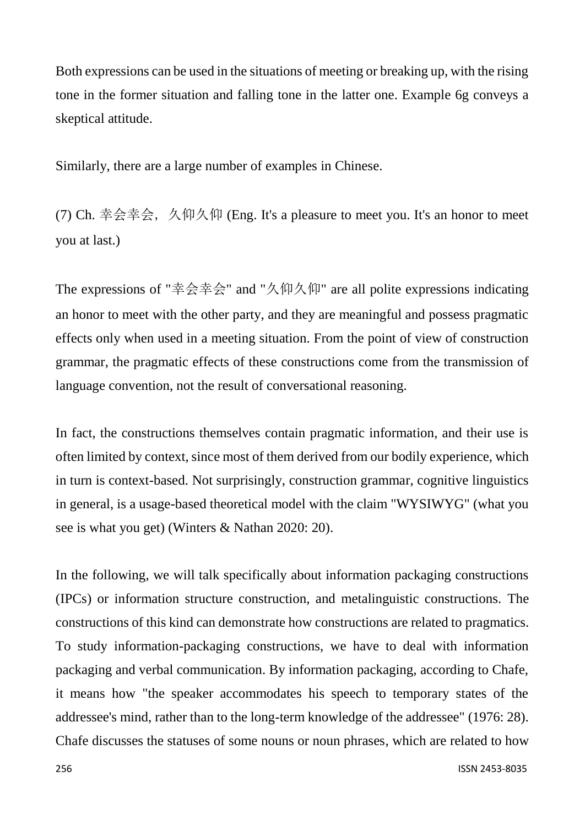Both expressions can be used in the situations of meeting or breaking up, with the rising tone in the former situation and falling tone in the latter one. Example 6g conveys a skeptical attitude.

Similarly, there are a large number of examples in Chinese.

(7) Ch. 幸会幸会, 久仰久仰 (Eng. It's a pleasure to meet you. It's an honor to meet you at last.)

The expressions of "幸会幸会" and "久仰久仰" are all polite expressions indicating an honor to meet with the other party, and they are meaningful and possess pragmatic effects only when used in a meeting situation. From the point of view of construction grammar, the pragmatic effects of these constructions come from the transmission of language convention, not the result of conversational reasoning.

In fact, the constructions themselves contain pragmatic information, and their use is often limited by context, since most of them derived from our bodily experience, which in turn is context-based. Not surprisingly, construction grammar, cognitive linguistics in general, is a usage-based theoretical model with the claim "WYSIWYG" (what you see is what you get) (Winters & Nathan 2020: 20).

In the following, we will talk specifically about information packaging constructions (IPCs) or information structure construction, and metalinguistic constructions. The constructions of this kind can demonstrate how constructions are related to pragmatics. To study information-packaging constructions, we have to deal with information packaging and verbal communication. By information packaging, according to Chafe, it means how "the speaker accommodates his speech to temporary states of the addressee's mind, rather than to the long-term knowledge of the addressee" (1976: 28). Chafe discusses the statuses of some nouns or noun phrases, which are related to how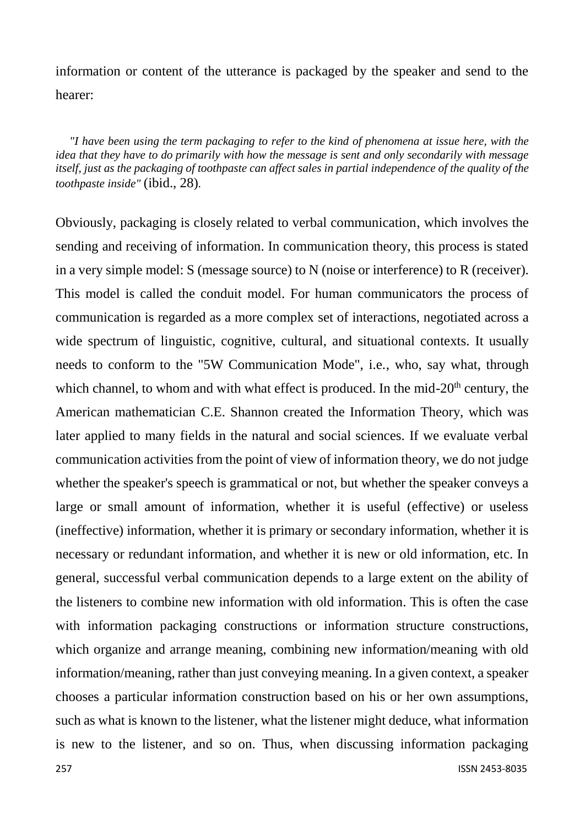information or content of the utterance is packaged by the speaker and send to the hearer:

*"I have been using the term packaging to refer to the kind of phenomena at issue here, with the idea that they have to do primarily with how the message is sent and only secondarily with message itself, just as the packaging of toothpaste can affect sales in partial independence of the quality of the toothpaste inside"* (ibid., 28)*.*

Obviously, packaging is closely related to verbal communication, which involves the sending and receiving of information. In communication theory, this process is stated in a very simple model: S (message source) to N (noise or interference) to R (receiver). This model is called the conduit model. For human communicators the process of communication is regarded as a more complex set of interactions, negotiated across a wide spectrum of linguistic, cognitive, cultural, and situational contexts. It usually needs to conform to the "5W Communication Mode", i.e., who, say what, through which channel, to whom and with what effect is produced. In the mid- $20<sup>th</sup>$  century, the American mathematician C.E. Shannon created the Information Theory, which was later applied to many fields in the natural and social sciences. If we evaluate verbal communication activities from the point of view of information theory, we do not judge whether the speaker's speech is grammatical or not, but whether the speaker conveys a large or small amount of information, whether it is useful (effective) or useless (ineffective) information, whether it is primary or secondary information, whether it is necessary or redundant information, and whether it is new or old information, etc. In general, successful verbal communication depends to a large extent on the ability of the listeners to combine new information with old information. This is often the case with information packaging constructions or information structure constructions, which organize and arrange meaning, combining new information/meaning with old information/meaning, rather than just conveying meaning. In a given context, a speaker chooses a particular information construction based on his or her own assumptions, such as what is known to the listener, what the listener might deduce, what information is new to the listener, and so on. Thus, when discussing information packaging

257 ISSN 2453-8035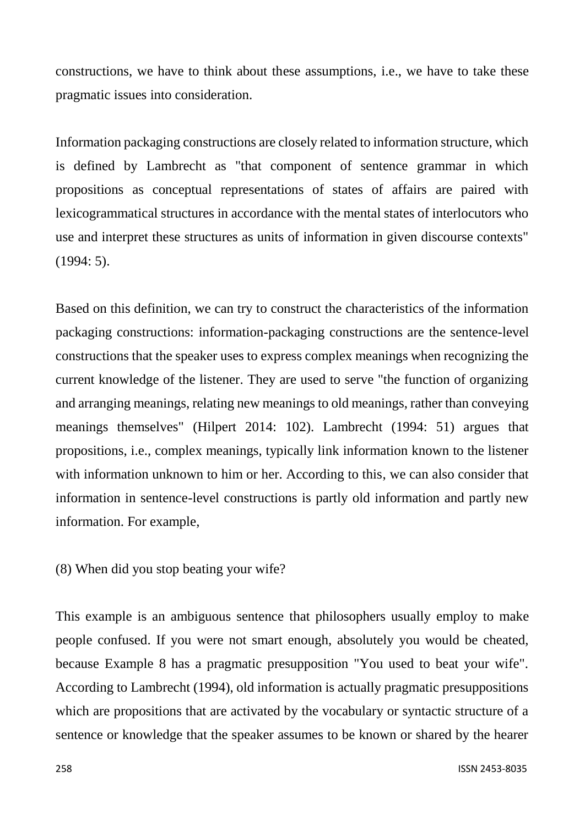constructions, we have to think about these assumptions, i.e., we have to take these pragmatic issues into consideration.

Information packaging constructions are closely related to information structure, which is defined by Lambrecht as "that component of sentence grammar in which propositions as conceptual representations of states of affairs are paired with lexicogrammatical structures in accordance with the mental states of interlocutors who use and interpret these structures as units of information in given discourse contexts" (1994: 5).

Based on this definition, we can try to construct the characteristics of the information packaging constructions: information-packaging constructions are the sentence-level constructions that the speaker uses to express complex meanings when recognizing the current knowledge of the listener. They are used to serve "the function of organizing and arranging meanings, relating new meanings to old meanings, rather than conveying meanings themselves" (Hilpert 2014: 102). Lambrecht (1994: 51) argues that propositions, i.e., complex meanings, typically link information known to the listener with information unknown to him or her. According to this, we can also consider that information in sentence-level constructions is partly old information and partly new information. For example,

(8) When did you stop beating your wife?

This example is an ambiguous sentence that philosophers usually employ to make people confused. If you were not smart enough, absolutely you would be cheated, because Example 8 has a pragmatic presupposition "You used to beat your wife". According to Lambrecht (1994), old information is actually pragmatic presuppositions which are propositions that are activated by the vocabulary or syntactic structure of a sentence or knowledge that the speaker assumes to be known or shared by the hearer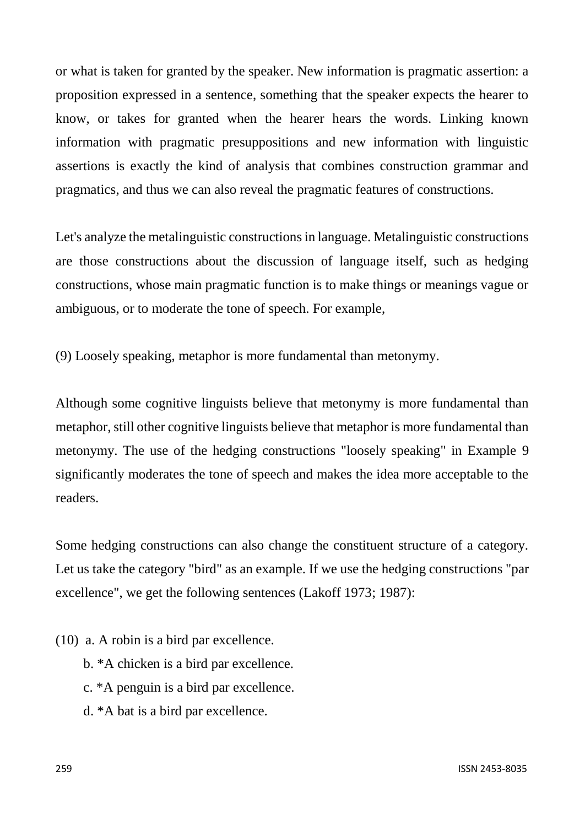or what is taken for granted by the speaker. New information is pragmatic assertion: a proposition expressed in a sentence, something that the speaker expects the hearer to know, or takes for granted when the hearer hears the words. Linking known information with pragmatic presuppositions and new information with linguistic assertions is exactly the kind of analysis that combines construction grammar and pragmatics, and thus we can also reveal the pragmatic features of constructions.

Let's analyze the metalinguistic constructions in language. Metalinguistic constructions are those constructions about the discussion of language itself, such as hedging constructions, whose main pragmatic function is to make things or meanings vague or ambiguous, or to moderate the tone of speech. For example,

(9) Loosely speaking, metaphor is more fundamental than metonymy.

Although some cognitive linguists believe that metonymy is more fundamental than metaphor, still other cognitive linguists believe that metaphor is more fundamental than metonymy. The use of the hedging constructions "loosely speaking" in Example 9 significantly moderates the tone of speech and makes the idea more acceptable to the readers.

Some hedging constructions can also change the constituent structure of a category. Let us take the category "bird" as an example. If we use the hedging constructions "par excellence", we get the following sentences (Lakoff 1973; 1987):

(10) a. A robin is a bird par excellence.

- b. \*A chicken is a bird par excellence.
- c. \*A penguin is a bird par excellence.
- d. \*A bat is a bird par excellence.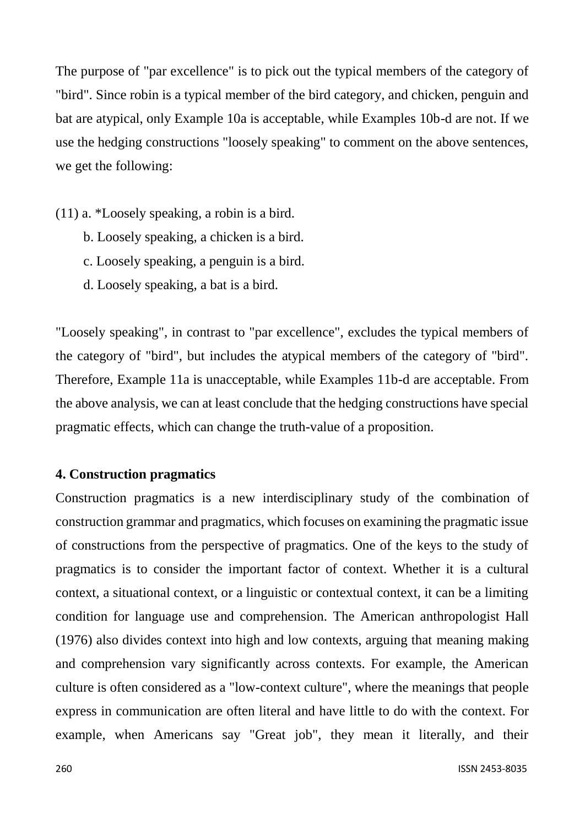The purpose of "par excellence" is to pick out the typical members of the category of "bird". Since robin is a typical member of the bird category, and chicken, penguin and bat are atypical, only Example 10a is acceptable, while Examples 10b-d are not. If we use the hedging constructions "loosely speaking" to comment on the above sentences, we get the following:

- (11) a. \*Loosely speaking, a robin is a bird.
	- b. Loosely speaking, a chicken is a bird.
	- c. Loosely speaking, a penguin is a bird.
	- d. Loosely speaking, a bat is a bird.

"Loosely speaking", in contrast to "par excellence", excludes the typical members of the category of "bird", but includes the atypical members of the category of "bird". Therefore, Example 11a is unacceptable, while Examples 11b-d are acceptable. From the above analysis, we can at least conclude that the hedging constructions have special pragmatic effects, which can change the truth-value of a proposition.

#### **4. Construction pragmatics**

Construction pragmatics is a new interdisciplinary study of the combination of construction grammar and pragmatics, which focuses on examining the pragmatic issue of constructions from the perspective of pragmatics. One of the keys to the study of pragmatics is to consider the important factor of context. Whether it is a cultural context, a situational context, or a linguistic or contextual context, it can be a limiting condition for language use and comprehension. The American anthropologist Hall (1976) also divides context into high and low contexts, arguing that meaning making and comprehension vary significantly across contexts. For example, the American culture is often considered as a "low-context culture", where the meanings that people express in communication are often literal and have little to do with the context. For example, when Americans say "Great job", they mean it literally, and their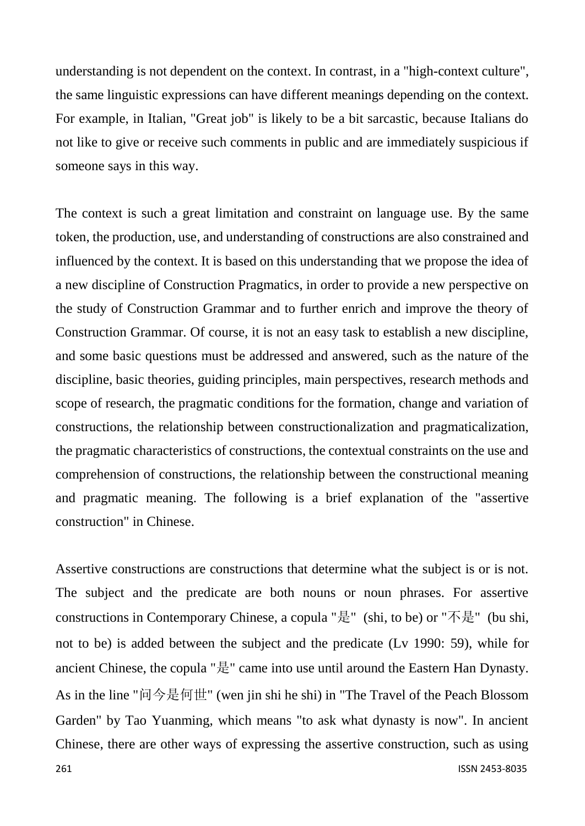understanding is not dependent on the context. In contrast, in a "high-context culture", the same linguistic expressions can have different meanings depending on the context. For example, in Italian, "Great job" is likely to be a bit sarcastic, because Italians do not like to give or receive such comments in public and are immediately suspicious if someone says in this way.

The context is such a great limitation and constraint on language use. By the same token, the production, use, and understanding of constructions are also constrained and influenced by the context. It is based on this understanding that we propose the idea of a new discipline of Construction Pragmatics, in order to provide a new perspective on the study of Construction Grammar and to further enrich and improve the theory of Construction Grammar. Of course, it is not an easy task to establish a new discipline, and some basic questions must be addressed and answered, such as the nature of the discipline, basic theories, guiding principles, main perspectives, research methods and scope of research, the pragmatic conditions for the formation, change and variation of constructions, the relationship between constructionalization and pragmaticalization, the pragmatic characteristics of constructions, the contextual constraints on the use and comprehension of constructions, the relationship between the constructional meaning and pragmatic meaning. The following is a brief explanation of the "assertive construction" in Chinese.

Assertive constructions are constructions that determine what the subject is or is not. The subject and the predicate are both nouns or noun phrases. For assertive constructions in Contemporary Chinese, a copula "是" (shi, to be) or "不是" (bu shi, not to be) is added between the subject and the predicate (Lv 1990: 59), while for ancient Chinese, the copula "是" came into use until around the Eastern Han Dynasty. As in the line "问今是何世" (wen jin shi he shi) in "The Travel of the Peach Blossom Garden" by Tao Yuanming, which means "to ask what dynasty is now". In ancient Chinese, there are other ways of expressing the assertive construction, such as using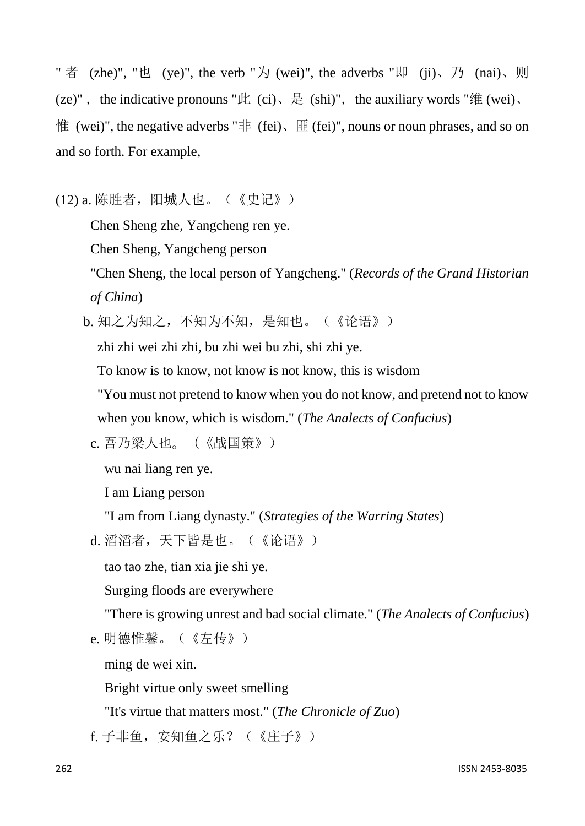" 者 (zhe)", "也 (ye)", the verb "  $\frac{1}{2}$  (wei)", the adverbs " 即 (ji)、 乃 (nai)、 则 (ze)", the indicative pronouns "此 (ci)、是 (shi)", the auxiliary words "维 (wei)、 惟 (wei)", the negative adverbs "非 (fei)、匪 (fei)", nouns or noun phrases, and so on and so forth. For example,

(12) a. 陈胜者,阳城人也。(《史记》)

Chen Sheng zhe, Yangcheng ren ye.

Chen Sheng, Yangcheng person

"Chen Sheng, the local person of Yangcheng." (*Records of the Grand Historian of China*)

b. 知之为知之, 不知为不知, 是知也。(《论语》)

zhi zhi wei zhi zhi, bu zhi wei bu zhi, shi zhi ye.

To know is to know, not know is not know, this is wisdom

"You must not pretend to know when you do not know, and pretend not to know when you know, which is wisdom." (*The Analects of Confucius*)

c. 吾乃梁人也。(《战国策》)

wu nai liang ren ye.

I am Liang person

"I am from Liang dynasty." (*Strategies of the Warring States*)

```
d. 滔滔者,天下皆是也。(《论语》)
```
tao tao zhe, tian xia jie shi ye.

Surging floods are everywhere

"There is growing unrest and bad social climate." (*The Analects of Confucius*)

```
e. 明德惟馨。(《左传》)
```
ming de wei xin.

Bright virtue only sweet smelling

"It's virtue that matters most." (*The Chronicle of Zuo*)

f. 子非鱼,安知鱼之乐?(《庄子》)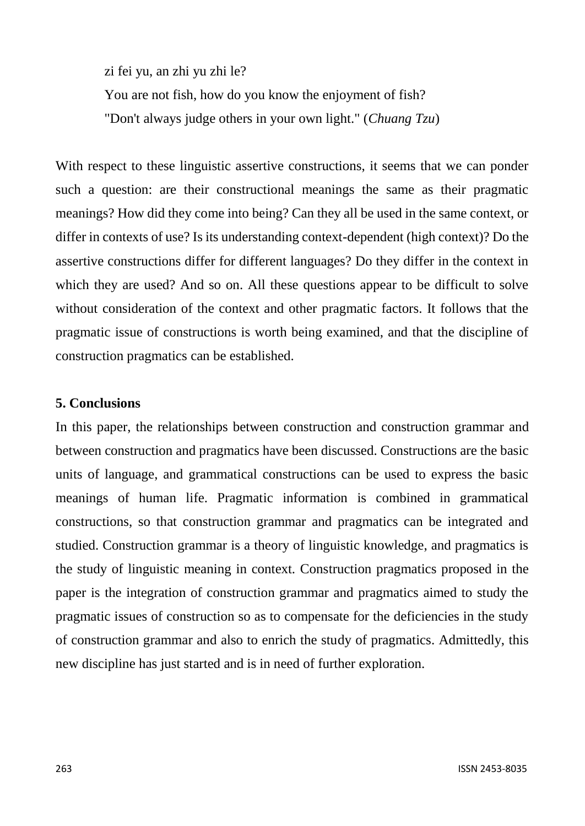zi fei yu, an zhi yu zhi le? You are not fish, how do you know the enjoyment of fish? "Don't always judge others in your own light." (*Chuang Tzu*)

With respect to these linguistic assertive constructions, it seems that we can ponder such a question: are their constructional meanings the same as their pragmatic meanings? How did they come into being? Can they all be used in the same context, or differ in contexts of use? Is its understanding context-dependent (high context)? Do the assertive constructions differ for different languages? Do they differ in the context in which they are used? And so on. All these questions appear to be difficult to solve without consideration of the context and other pragmatic factors. It follows that the pragmatic issue of constructions is worth being examined, and that the discipline of construction pragmatics can be established.

## **5. Conclusions**

In this paper, the relationships between construction and construction grammar and between construction and pragmatics have been discussed. Constructions are the basic units of language, and grammatical constructions can be used to express the basic meanings of human life. Pragmatic information is combined in grammatical constructions, so that construction grammar and pragmatics can be integrated and studied. Construction grammar is a theory of linguistic knowledge, and pragmatics is the study of linguistic meaning in context. Construction pragmatics proposed in the paper is the integration of construction grammar and pragmatics aimed to study the pragmatic issues of construction so as to compensate for the deficiencies in the study of construction grammar and also to enrich the study of pragmatics. Admittedly, this new discipline has just started and is in need of further exploration.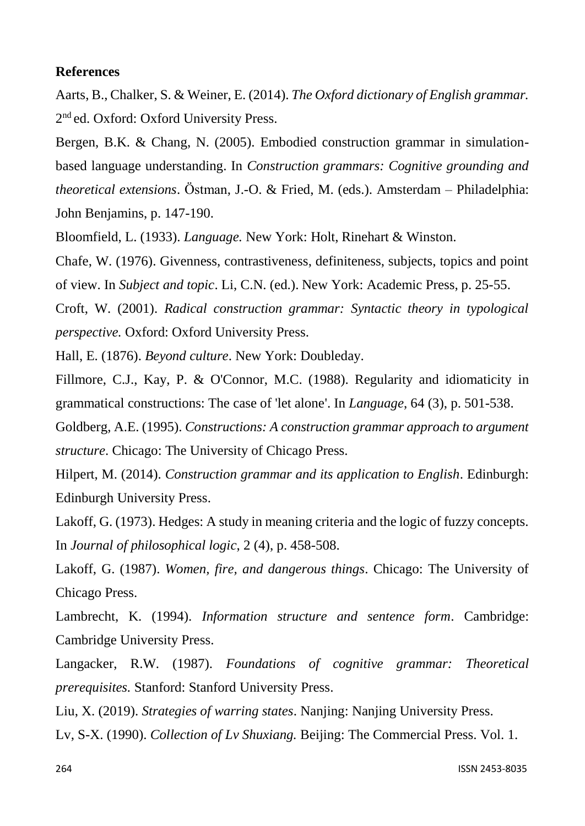#### **References**

Aarts, B., Chalker, S. & Weiner, E. (2014). *The Oxford dictionary of English grammar.* 2<sup>nd</sup> ed. Oxford: Oxford University Press.

Bergen, B.K. & Chang, N. (2005). Embodied construction grammar in simulationbased language understanding. In *Construction grammars: Cognitive grounding and theoretical extensions*. Östman, J.-O. & Fried, M. (eds.). Amsterdam – Philadelphia: John Benjamins, p. 147-190.

Bloomfield, L. (1933). *Language.* New York: Holt, Rinehart & Winston.

Chafe, W. (1976). Givenness, contrastiveness, definiteness, subjects, topics and point of view. In *Subject and topic*. Li, C.N. (ed.). New York: Academic Press, p. 25-55.

Croft, W. (2001). *Radical construction grammar: Syntactic theory in typological perspective.* Oxford: Oxford University Press.

Hall, E. (1876). *Beyond culture*. New York: Doubleday.

Fillmore, C.J., Kay, P. & O'Connor, M.C. (1988). Regularity and idiomaticity in grammatical constructions: The case of 'let alone'. In *Language*, 64 (3), p. 501-538.

Goldberg, A.E. (1995). *Constructions: A construction grammar approach to argument structure*. Chicago: The University of Chicago Press.

Hilpert, M. (2014). *Construction grammar and its application to English*. Edinburgh: Edinburgh University Press.

Lakoff, G. (1973). Hedges: A study in meaning criteria and the logic of fuzzy concepts. In *Journal of philosophical logic*, 2 (4), p. 458-508.

Lakoff, G. (1987). *Women, fire, and dangerous things*. Chicago: The University of Chicago Press.

Lambrecht, K. (1994). *Information structure and sentence form*. Cambridge: Cambridge University Press.

Langacker, R.W. (1987). *Foundations of cognitive grammar: Theoretical prerequisites.* Stanford: Stanford University Press.

Liu, X. (2019). *Strategies of warring states*. Nanjing: Nanjing University Press.

Lv, S-X. (1990). *Collection of Lv Shuxiang.* Beijing: The Commercial Press. Vol. 1.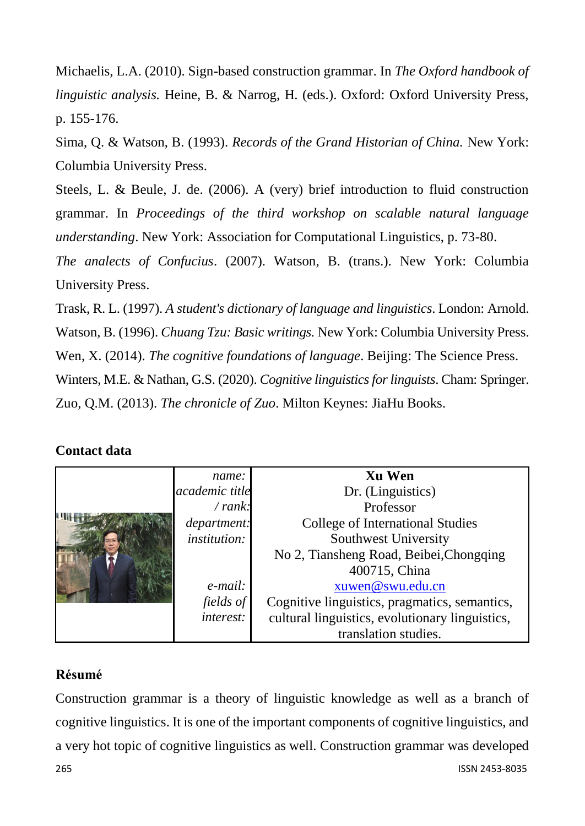Michaelis, L.A. (2010). Sign-based construction grammar. In *The Oxford handbook of linguistic analysis.* Heine, B. & Narrog, H. (eds.). Oxford: Oxford University Press, p. 155-176.

Sima, Q. & Watson, B. (1993). *Records of the Grand Historian of China.* New York: Columbia University Press.

Steels, L. & Beule, J. de. (2006). A (very) brief introduction to fluid construction grammar. In *Proceedings of the third workshop on scalable natural language understanding*. New York: Association for Computational Linguistics, p. 73-80.

*The analects of Confucius*. (2007). Watson, B. (trans.). New York: Columbia University Press.

Trask, R. L. (1997). *A student's dictionary of language and linguistics*. London: Arnold. Watson, B. (1996). *Chuang Tzu: Basic writings.* New York: Columbia University Press. Wen, X. (2014). *The cognitive foundations of language*. Beijing: The Science Press. Winters, M.E. & Nathan, G.S. (2020). *Cognitive linguistics for linguists*. Cham: Springer. Zuo, Q.M. (2013). *The chronicle of Zuo*. Milton Keynes: JiaHu Books.

## **Contact data**

|  | name:               | Xu Wen                                          |
|--|---------------------|-------------------------------------------------|
|  | academic title      | Dr. (Linguistics)                               |
|  | / rank:             | Professor                                       |
|  | department:         | College of International Studies                |
|  | <i>institution:</i> | Southwest University                            |
|  |                     | No 2, Tiansheng Road, Beibei, Chongqing         |
|  |                     | 400715, China                                   |
|  | e-mail:             | xuwen@swu.edu.cn                                |
|  | fields of           | Cognitive linguistics, pragmatics, semantics,   |
|  | <i>interest:</i>    | cultural linguistics, evolutionary linguistics, |
|  |                     | translation studies.                            |

## **Résumé**

265 ISSN 2453-8035 Construction grammar is a theory of linguistic knowledge as well as a branch of cognitive linguistics. It is one of the important components of cognitive linguistics, and a very hot topic of cognitive linguistics as well. Construction grammar was developed